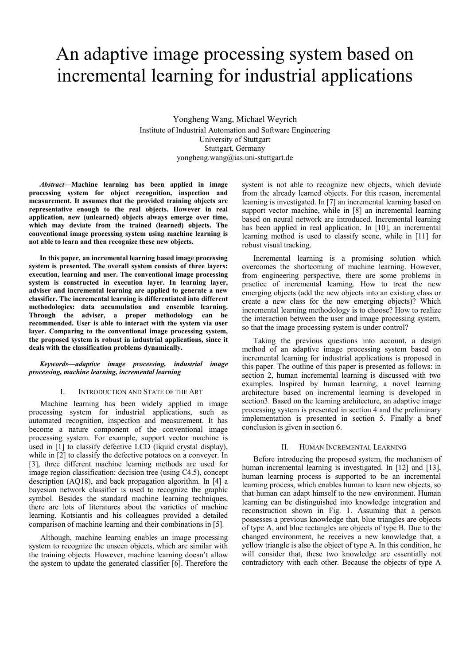# An adaptive image processing system based on incremental learning for industrial applications

Yongheng Wang, Michael Weyrich Institute of Industrial Automation and Software Engineering University of Stuttgart Stuttgart, Germany yongheng.wang@ias.uni-stuttgart.de

*Abstract***—Machine learning has been applied in image processing system for object recognition, inspection and measurement. It assumes that the provided training objects are representative enough to the real objects. However in real application, new (unlearned) objects always emerge over time, which may deviate from the trained (learned) objects. The conventional image processing system using machine learning is not able to learn and then recognize these new objects.** 

**In this paper, an incremental learning based image processing system is presented. The overall system consists of three layers: execution, learning and user. The conventional image processing system is constructed in execution layer. In learning layer, adviser and incremental learning are applied to generate a new classifier. The incremental learning is differentiated into different methodologies: data accumulation and ensemble learning. Through the adviser, a proper methodology can be recommended. User is able to interact with the system via user layer. Comparing to the conventional image processing system, the proposed system is robust in industrial applications, since it deals with the classification problems dynamically.** 

## *Keywords—adaptive image processing, industrial image processing, machine learning, incremental learning*

## I. INTRODUCTION AND STATE OF THE ART

Machine learning has been widely applied in image processing system for industrial applications, such as automated recognition, inspection and measurement. It has become a nature component of the conventional image processing system. For example, support vector machine is used in [1] to classify defective LCD (liquid crystal display), while in [2] to classify the defective potatoes on a conveyer. In [3], three different machine learning methods are used for image region classification: decision tree (using C4.5), concept description (AQ18), and back propagation algorithm. In [4] a bayesian network classifier is used to recognize the graphic symbol. Besides the standard machine learning techniques, there are lots of literatures about the varieties of machine learning. Kotsiantis and his colleagues provided a detailed comparison of machine learning and their combinations in [5].

Although, machine learning enables an image processing system to recognize the unseen objects, which are similar with the training objects. However, machine learning doesn't allow the system to update the generated classifier [6]. Therefore the

system is not able to recognize new objects, which deviate from the already learned objects. For this reason, incremental learning is investigated. In [7] an incremental learning based on support vector machine, while in [8] an incremental learning based on neural network are introduced. Incremental learning has been applied in real application. In [10], an incremental learning method is used to classify scene, while in [11] for robust visual tracking.

Incremental learning is a promising solution which overcomes the shortcoming of machine learning. However, from engineering perspective, there are some problems in practice of incremental learning. How to treat the new emerging objects (add the new objects into an existing class or create a new class for the new emerging objects)? Which incremental learning methodology is to choose? How to realize the interaction between the user and image processing system, so that the image processing system is under control?

Taking the previous questions into account, a design method of an adaptive image processing system based on incremental learning for industrial applications is proposed in this paper. The outline of this paper is presented as follows: in section 2, human incremental learning is discussed with two examples. Inspired by human learning, a novel learning architecture based on incremental learning is developed in section3. Based on the learning architecture, an adaptive image processing system is presented in section 4 and the preliminary implementation is presented in section 5. Finally a brief conclusion is given in section 6.

### II. HUMAN INCREMENTAL LEARNING

Before introducing the proposed system, the mechanism of human incremental learning is investigated. In [12] and [13], human learning process is supported to be an incremental learning process, which enables human to learn new objects, so that human can adapt himself to the new environment. Human learning can be distinguished into knowledge integration and reconstruction shown in Fig. 1. Assuming that a person possesses a previous knowledge that, blue triangles are objects of type A, and blue rectangles are objects of type B. Due to the changed environment, he receives a new knowledge that, a yellow triangle is also the object of type A. In this condition, he will consider that, these two knowledge are essentially not contradictory with each other. Because the objects of type A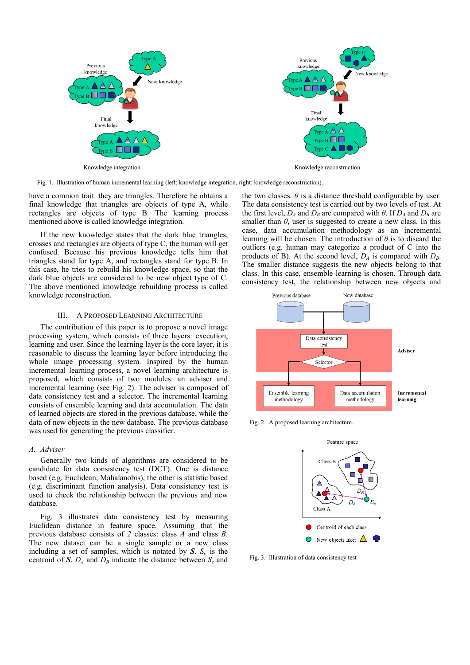

Fig. 1. Illustration of human incremental learning (left: knowledge integration, right: knowledge reconstruction).

have a common trait: they are triangles. Therefore he obtains a final knowledge that triangles are objects of type A, while rectangles are objects of type B. The learning process mentioned above is called knowledge integration.

If the new knowledge states that the dark blue triangles, crosses and rectangles are objects of type C, the human will get confused. Because his previous knowledge tells him that triangles stand for type A, and rectangles stand for type B. In this case, he tries to rebuild his knowledge space, so that the dark blue objects are considered to be new object type of C. The above mentioned knowledge rebuilding process is called knowledge reconstruction.

## III. A PROPOSED LEARNING ARCHITECTURE

The contribution of this paper is to propose a novel image processing system, which consists of three layers: execution, learning and user. Since the learning layer is the core layer, it is reasonable to discuss the learning layer before introducing the whole image processing system. Inspired by the human incremental learning process, a novel learning architecture is proposed, which consists of two modules: an adviser and incremental learning (see Fig. 2). The adviser is composed of data consistency test and a selector. The incremental learning consists of ensemble learning and data accumulation. The data of learned objects are stored in the previous database, while the data of new objects in the new database. The previous database was used for generating the previous classifier.

#### *A. Adviser*

Generally two kinds of algorithms are considered to be candidate for data consistency test (DCT). One is distance based (e.g. Euclidean, Mahalanobis), the other is statistic based (e.g. discriminant function analysis). Data consistency test is used to check the relationship between the previous and new database.

Fig. 3 illustrates data consistency test by measuring Euclidean distance in feature space. Assuming that the previous database consists of *2* classes: class *A* and class *B*. The new dataset can be a single sample or a new class including a set of samples, which is notated by  $S$ .  $S_c$  is the centroid of *S*.  $D_A$  and  $D_B$  indicate the distance between  $S_c$  and

the two classes.  $\theta$  is a distance threshold configurable by user. The data consistency test is carried out by two levels of test. At the first level,  $D_A$  and  $D_B$  are compared with  $\theta$ . If  $D_A$  and  $D_B$  are smaller than  $\theta$ , user is suggested to create a new class. In this case, data accumulation methodology as an incremental learning will be chosen. The introduction of *θ* is to discard the outliers (e.g. human may categorize a product of C into the products of B). At the second level,  $D_A$  is compared with  $D_B$ . The smaller distance suggests the new objects belong to that class. In this case, ensemble learning is chosen. Through data consistency test, the relationship between new objects and



Fig. 2. A proposed learning architecture.



Fig. 3. Illustration of data consistency test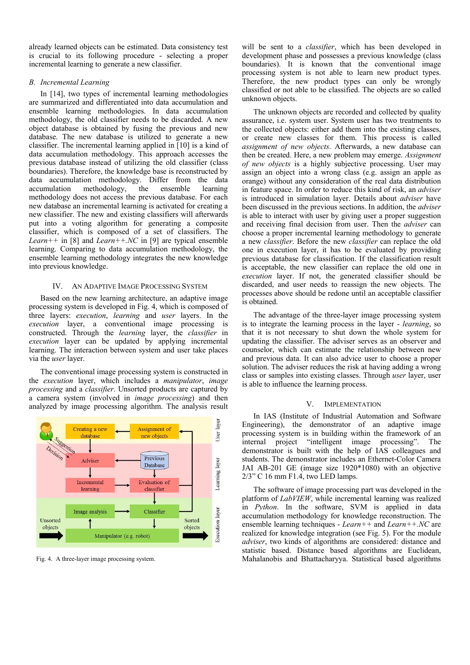already learned objects can be estimated. Data consistency test is crucial to its following procedure - selecting a proper incremental learning to generate a new classifier.

# *B. Incremental Learning*

In [14], two types of incremental learning methodologies are summarized and differentiated into data accumulation and ensemble learning methodologies. In data accumulation methodology, the old classifier needs to be discarded. A new object database is obtained by fusing the previous and new database. The new database is utilized to generate a new classifier. The incremental learning applied in [10] is a kind of data accumulation methodology. This approach accesses the previous database instead of utilizing the old classifier (class boundaries). Therefore, the knowledge base is reconstructed by data accumulation methodology. Differ from the data accumulation methodology, the ensemble learning methodology does not access the previous database. For each new database an incremental learning is activated for creating a new classifier. The new and existing classifiers will afterwards put into a voting algorithm for generating a composite classifier, which is composed of a set of classifiers. The *Learn++* in [8] and *Learn++.NC* in [9] are typical ensemble learning. Comparing to data accumulation methodology, the ensemble learning methodology integrates the new knowledge into previous knowledge.

# IV. AN ADAPTIVE IMAGE PROCESSING SYSTEM

Based on the new learning architecture, an adaptive image processing system is developed in Fig. 4, which is composed of three layers: *execution*, *learning* and *user* layers. In the *execution* layer, a conventional image processing is constructed. Through the *learning* layer, the *classifier* in *execution* layer can be updated by applying incremental learning. The interaction between system and user take places via the *user* layer.

The conventional image processing system is constructed in the *execution* layer, which includes a *manipulator*, *image processing* and a *classifier*. Unsorted products are captured by a camera system (involved in *image processing*) and then analyzed by image processing algorithm. The analysis result



will be sent to a *classifier*, which has been developed in development phase and possesses a previous knowledge (class boundaries). It is known that the conventional image processing system is not able to learn new product types. Therefore, the new product types can only be wrongly classified or not able to be classified. The objects are so called unknown objects.

The unknown objects are recorded and collected by quality assurance, i.e. system user. System user has two treatments to the collected objects: either add them into the existing classes, or create new classes for them. This process is called *assignment of new objects*. Afterwards, a new database can then be created. Here, a new problem may emerge. *Assignment of new objects* is a highly subjective processing. User may assign an object into a wrong class (e.g. assign an apple as orange) without any consideration of the real data distribution in feature space. In order to reduce this kind of risk, an *adviser* is introduced in simulation layer. Details about *adviser* have been discussed in the previous sections. In addition, the *adviser* is able to interact with user by giving user a proper suggestion and receiving final decision from user. Then the *adviser* can choose a proper incremental learning methodology to generate a new *classifier*. Before the new *classifier* can replace the old one in execution layer, it has to be evaluated by providing previous database for classification. If the classification result is acceptable, the new classifier can replace the old one in *execution* layer. If not, the generated classifier should be discarded, and user needs to reassign the new objects. The processes above should be redone until an acceptable classifier is obtained.

The advantage of the three-layer image processing system is to integrate the learning process in the layer - *learning*, so that it is not necessary to shut down the whole system for updating the classifier. The adviser serves as an observer and counselor, which can estimate the relationship between new and previous data. It can also advice user to choose a proper solution. The adviser reduces the risk at having adding a wrong class or samples into existing classes. Through *user* layer, user is able to influence the learning process.

## V. IMPLEMENTATION

In IAS (Institute of Industrial Automation and Software Engineering), the demonstrator of an adaptive image processing system is in building within the framework of an internal project "intelligent image processing". The demonstrator is built with the help of IAS colleagues and students. The demonstrator includes an Ethernet-Color Camera JAI AB-201 GE (image size 1920\*1080) with an objective 2/3" C 16 mm F1.4, two LED lamps.

The software of image processing part was developed in the platform of *LabVIEW*, while incremental learning was realized in *Python*. In the software, SVM is applied in data accumulation methodology for knowledge reconstruction. The ensemble learning techniques - *Learn++* and *Learn++.NC* are realized for knowledge integration (see Fig. 5). For the module *adviser*, two kinds of algorithms are considered: distance and statistic based. Distance based algorithms are Euclidean, Fig. 4. A three-layer image processing system. Mahalanobis and Bhattacharyya. Statistical based algorithms